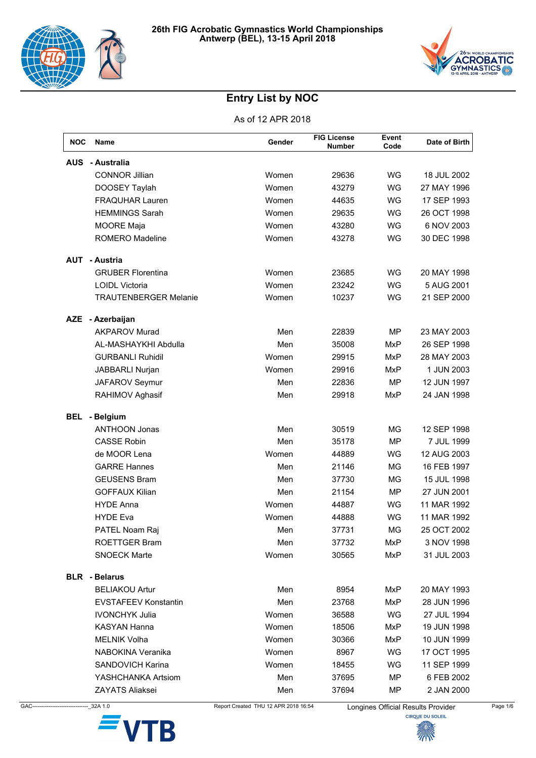



| <b>NOC</b> | Name                         | Gender | <b>FIG License</b><br><b>Number</b> | Event<br>Code | Date of Birth |
|------------|------------------------------|--------|-------------------------------------|---------------|---------------|
| <b>AUS</b> | - Australia                  |        |                                     |               |               |
|            | <b>CONNOR Jillian</b>        | Women  | 29636                               | <b>WG</b>     | 18 JUL 2002   |
|            | DOOSEY Taylah                | Women  | 43279                               | WG            | 27 MAY 1996   |
|            | <b>FRAQUHAR Lauren</b>       | Women  | 44635                               | WG            | 17 SEP 1993   |
|            | <b>HEMMINGS Sarah</b>        | Women  | 29635                               | WG            | 26 OCT 1998   |
|            | <b>MOORE Maja</b>            | Women  | 43280                               | WG            | 6 NOV 2003    |
|            | <b>ROMERO Madeline</b>       | Women  | 43278                               | WG            | 30 DEC 1998   |
|            | <b>AUT - Austria</b>         |        |                                     |               |               |
|            | <b>GRUBER Florentina</b>     | Women  | 23685                               | <b>WG</b>     | 20 MAY 1998   |
|            | <b>LOIDL Victoria</b>        | Women  | 23242                               | WG            | 5 AUG 2001    |
|            | <b>TRAUTENBERGER Melanie</b> | Women  | 10237                               | <b>WG</b>     | 21 SEP 2000   |
|            | AZE - Azerbaijan             |        |                                     |               |               |
|            | <b>AKPAROV Murad</b>         | Men    | 22839                               | <b>MP</b>     | 23 MAY 2003   |
|            | AL-MASHAYKHI Abdulla         | Men    | 35008                               | <b>MxP</b>    | 26 SEP 1998   |
|            | <b>GURBANLI Ruhidil</b>      | Women  | 29915                               | <b>MxP</b>    | 28 MAY 2003   |
|            | JABBARLI Nurjan              | Women  | 29916                               | MxP           | 1 JUN 2003    |
|            | JAFAROV Seymur               | Men    | 22836                               | <b>MP</b>     | 12 JUN 1997   |
|            | RAHIMOV Aghasif              | Men    | 29918                               | <b>MxP</b>    | 24 JAN 1998   |
| <b>BEL</b> | - Belgium                    |        |                                     |               |               |
|            | <b>ANTHOON Jonas</b>         | Men    | 30519                               | MG            | 12 SEP 1998   |
|            | <b>CASSE Robin</b>           | Men    | 35178                               | <b>MP</b>     | 7 JUL 1999    |
|            | de MOOR Lena                 | Women  | 44889                               | <b>WG</b>     | 12 AUG 2003   |
|            | <b>GARRE Hannes</b>          | Men    | 21146                               | <b>MG</b>     | 16 FEB 1997   |
|            | <b>GEUSENS Bram</b>          | Men    | 37730                               | ΜG            | 15 JUL 1998   |
|            | <b>GOFFAUX Kilian</b>        | Men    | 21154                               | <b>MP</b>     | 27 JUN 2001   |
|            | <b>HYDE Anna</b>             | Women  | 44887                               | WG            | 11 MAR 1992   |
|            | <b>HYDE Eva</b>              | Women  | 44888                               | WG            | 11 MAR 1992   |
|            | PATEL Noam Raj               | Men    | 37731                               | MG            | 25 OCT 2002   |
|            | ROETTGER Bram                | Men    | 37732                               | MxP           | 3 NOV 1998    |
|            | <b>SNOECK Marte</b>          | Women  | 30565                               | MxP           | 31 JUL 2003   |
|            | <b>BLR</b> - Belarus         |        |                                     |               |               |
|            | <b>BELIAKOU Artur</b>        | Men    | 8954                                | <b>MxP</b>    | 20 MAY 1993   |
|            | <b>EVSTAFEEV Konstantin</b>  | Men    | 23768                               | MxP           | 28 JUN 1996   |
|            | <b>IVONCHYK Julia</b>        | Women  | 36588                               | WG            | 27 JUL 1994   |
|            | <b>KASYAN Hanna</b>          | Women  | 18506                               | MxP           | 19 JUN 1998   |
|            | MELNIK Volha                 | Women  | 30366                               | MxP           | 10 JUN 1999   |
|            | NABOKINA Veranika            | Women  | 8967                                | WG            | 17 OCT 1995   |
|            | <b>SANDOVICH Karina</b>      | Women  | 18455                               | <b>WG</b>     | 11 SEP 1999   |
|            | YASHCHANKA Artsiom           | Men    | 37695                               | MP            | 6 FEB 2002    |
|            | ZAYATS Aliaksei              | Men    | 37694                               | MP            | 2 JAN 2000    |



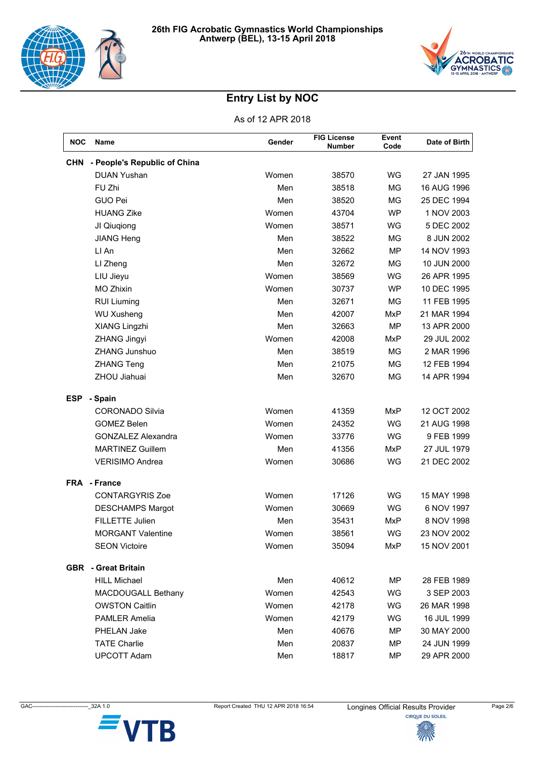



| <b>NOC</b> | Name                         | Gender | <b>FIG License</b><br><b>Number</b> | Event<br>Code | Date of Birth |
|------------|------------------------------|--------|-------------------------------------|---------------|---------------|
| <b>CHN</b> | - People's Republic of China |        |                                     |               |               |
|            | <b>DUAN Yushan</b>           | Women  | 38570                               | WG            | 27 JAN 1995   |
|            | FU Zhi                       | Men    | 38518                               | <b>MG</b>     | 16 AUG 1996   |
|            | <b>GUO Pei</b>               | Men    | 38520                               | MG            | 25 DEC 1994   |
|            | <b>HUANG Zike</b>            | Women  | 43704                               | <b>WP</b>     | 1 NOV 2003    |
|            | JI Qiuqiong                  | Women  | 38571                               | <b>WG</b>     | 5 DEC 2002    |
|            | <b>JIANG Heng</b>            | Men    | 38522                               | MG            | 8 JUN 2002    |
|            | LI An                        | Men    | 32662                               | <b>MP</b>     | 14 NOV 1993   |
|            | LI Zheng                     | Men    | 32672                               | ΜG            | 10 JUN 2000   |
|            | LIU Jieyu                    | Women  | 38569                               | WG            | 26 APR 1995   |
|            | <b>MO Zhixin</b>             | Women  | 30737                               | <b>WP</b>     | 10 DEC 1995   |
|            | <b>RUI Liuming</b>           | Men    | 32671                               | <b>MG</b>     | 11 FEB 1995   |
|            | <b>WU Xusheng</b>            | Men    | 42007                               | <b>MxP</b>    | 21 MAR 1994   |
|            | XIANG Lingzhi                | Men    | 32663                               | <b>MP</b>     | 13 APR 2000   |
|            | <b>ZHANG Jingyi</b>          | Women  | 42008                               | <b>MxP</b>    | 29 JUL 2002   |
|            | <b>ZHANG Junshuo</b>         | Men    | 38519                               | MG            | 2 MAR 1996    |
|            | <b>ZHANG Teng</b>            | Men    | 21075                               | MG            | 12 FEB 1994   |
|            | ZHOU Jiahuai                 | Men    | 32670                               | MG            | 14 APR 1994   |
| <b>ESP</b> | - Spain                      |        |                                     |               |               |
|            | <b>CORONADO Silvia</b>       | Women  | 41359                               | <b>MxP</b>    | 12 OCT 2002   |
|            | <b>GOMEZ Belen</b>           | Women  | 24352                               | WG            | 21 AUG 1998   |
|            | <b>GONZALEZ Alexandra</b>    | Women  | 33776                               | WG            | 9 FEB 1999    |
|            | <b>MARTINEZ Guillem</b>      | Men    | 41356                               | MxP           | 27 JUL 1979   |
|            | <b>VERISIMO Andrea</b>       | Women  | 30686                               | WG            | 21 DEC 2002   |
|            | <b>FRA</b> - France          |        |                                     |               |               |
|            | <b>CONTARGYRIS Zoe</b>       | Women  | 17126                               | <b>WG</b>     | 15 MAY 1998   |
|            | <b>DESCHAMPS Margot</b>      | Women  | 30669                               | WG            | 6 NOV 1997    |
|            | FILLETTE Julien              | Men    | 35431                               | MxP           | 8 NOV 1998    |
|            | <b>MORGANT Valentine</b>     | Women  | 38561                               | WG            | 23 NOV 2002   |
|            | <b>SEON Victoire</b>         | Women  | 35094                               | MxP           | 15 NOV 2001   |
| <b>GBR</b> | - Great Britain              |        |                                     |               |               |
|            | <b>HILL Michael</b>          | Men    | 40612                               | ΜP            | 28 FEB 1989   |
|            | MACDOUGALL Bethany           | Women  | 42543                               | WG            | 3 SEP 2003    |
|            | <b>OWSTON Caitlin</b>        | Women  | 42178                               | WG            | 26 MAR 1998   |
|            | <b>PAMLER Amelia</b>         | Women  | 42179                               | WG            | 16 JUL 1999   |
|            | PHELAN Jake                  | Men    | 40676                               | ΜP            | 30 MAY 2000   |
|            | <b>TATE Charlie</b>          | Men    | 20837                               | <b>MP</b>     | 24 JUN 1999   |
|            | <b>UPCOTT Adam</b>           | Men    | 18817                               | MP            | 29 APR 2000   |



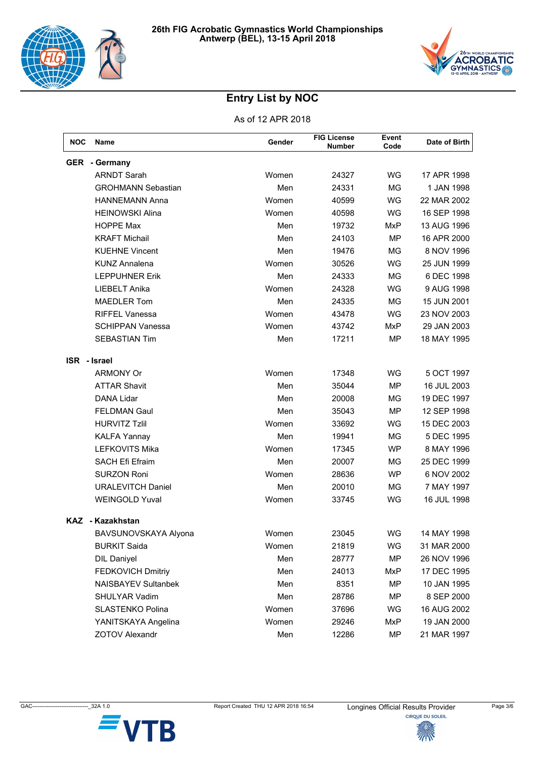



| NOC | Name                       | Gender | <b>FIG License</b><br><b>Number</b> | Event<br>Code | Date of Birth |
|-----|----------------------------|--------|-------------------------------------|---------------|---------------|
|     | <b>GER</b> - Germany       |        |                                     |               |               |
|     | <b>ARNDT Sarah</b>         | Women  | 24327                               | <b>WG</b>     | 17 APR 1998   |
|     | <b>GROHMANN Sebastian</b>  | Men    | 24331                               | <b>MG</b>     | 1 JAN 1998    |
|     | <b>HANNEMANN Anna</b>      | Women  | 40599                               | <b>WG</b>     | 22 MAR 2002   |
|     | <b>HEINOWSKI Alina</b>     | Women  | 40598                               | WG            | 16 SEP 1998   |
|     | <b>HOPPE Max</b>           | Men    | 19732                               | MxP           | 13 AUG 1996   |
|     | <b>KRAFT Michail</b>       | Men    | 24103                               | <b>MP</b>     | 16 APR 2000   |
|     | <b>KUEHNE Vincent</b>      | Men    | 19476                               | <b>MG</b>     | 8 NOV 1996    |
|     | <b>KUNZ Annalena</b>       | Women  | 30526                               | WG            | 25 JUN 1999   |
|     | <b>LEPPUHNER Erik</b>      | Men    | 24333                               | MG            | 6 DEC 1998    |
|     | LIEBELT Anika              | Women  | 24328                               | <b>WG</b>     | 9 AUG 1998    |
|     | <b>MAEDLER Tom</b>         | Men    | 24335                               | <b>MG</b>     | 15 JUN 2001   |
|     | <b>RIFFEL Vanessa</b>      | Women  | 43478                               | WG            | 23 NOV 2003   |
|     | <b>SCHIPPAN Vanessa</b>    | Women  | 43742                               | MxP           | 29 JAN 2003   |
|     | <b>SEBASTIAN Tim</b>       | Men    | 17211                               | <b>MP</b>     | 18 MAY 1995   |
|     | <b>ISR</b> - Israel        |        |                                     |               |               |
|     | <b>ARMONY Or</b>           | Women  | 17348                               | <b>WG</b>     | 5 OCT 1997    |
|     | <b>ATTAR Shavit</b>        | Men    | 35044                               | <b>MP</b>     | 16 JUL 2003   |
|     | <b>DANA Lidar</b>          | Men    | 20008                               | MG            | 19 DEC 1997   |
|     | <b>FELDMAN Gaul</b>        | Men    | 35043                               | <b>MP</b>     | 12 SEP 1998   |
|     | <b>HURVITZ Tzlil</b>       | Women  | 33692                               | <b>WG</b>     | 15 DEC 2003   |
|     | <b>KALFA Yannay</b>        | Men    | 19941                               | MG            | 5 DEC 1995    |
|     | <b>LEFKOVITS Mika</b>      | Women  | 17345                               | <b>WP</b>     | 8 MAY 1996    |
|     | <b>SACH Efi Efraim</b>     | Men    | 20007                               | <b>MG</b>     | 25 DEC 1999   |
|     | <b>SURZON Roni</b>         | Women  | 28636                               | <b>WP</b>     | 6 NOV 2002    |
|     | <b>URALEVITCH Daniel</b>   | Men    | 20010                               | MG            | 7 MAY 1997    |
|     | <b>WEINGOLD Yuval</b>      | Women  | 33745                               | WG            | 16 JUL 1998   |
|     | KAZ - Kazakhstan           |        |                                     |               |               |
|     | BAVSUNOVSKAYA Alyona       | Women  | 23045                               | <b>WG</b>     | 14 MAY 1998   |
|     | <b>BURKIT Saida</b>        | Women  | 21819                               | WG            | 31 MAR 2000   |
|     | <b>DIL Daniyel</b>         | Men    | 28777                               | <b>MP</b>     | 26 NOV 1996   |
|     | FEDKOVICH Dmitriy          | Men    | 24013                               | MxP           | 17 DEC 1995   |
|     | <b>NAISBAYEV Sultanbek</b> | Men    | 8351                                | <b>MP</b>     | 10 JAN 1995   |
|     | SHULYAR Vadim              | Men    | 28786                               | MP            | 8 SEP 2000    |
|     | <b>SLASTENKO Polina</b>    | Women  | 37696                               | WG            | 16 AUG 2002   |
|     | YANITSKAYA Angelina        | Women  | 29246                               | <b>MxP</b>    | 19 JAN 2000   |
|     | <b>ZOTOV Alexandr</b>      | Men    | 12286                               | <b>MP</b>     | 21 MAR 1997   |

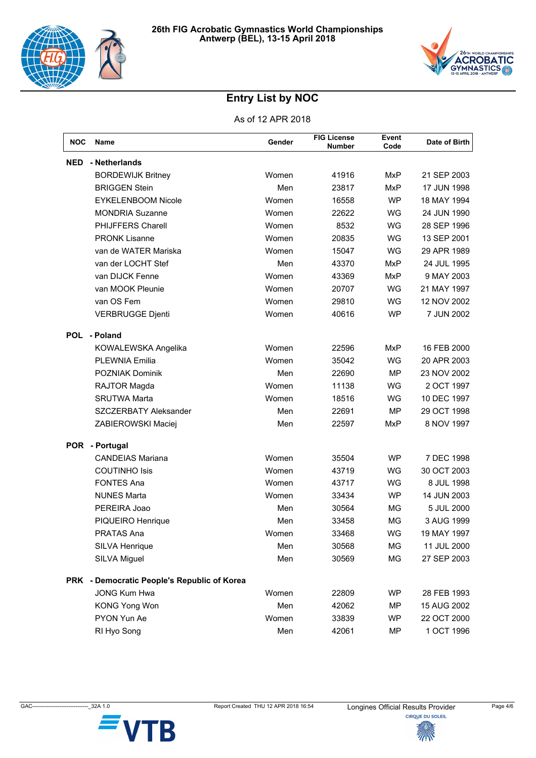



| <b>NOC</b> | Name                                        | Gender | <b>FIG License</b><br><b>Number</b> | Event<br>Code | Date of Birth |
|------------|---------------------------------------------|--------|-------------------------------------|---------------|---------------|
| <b>NED</b> | - Netherlands                               |        |                                     |               |               |
|            | <b>BORDEWIJK Britney</b>                    | Women  | 41916                               | <b>MxP</b>    | 21 SEP 2003   |
|            | <b>BRIGGEN Stein</b>                        | Men    | 23817                               | MxP           | 17 JUN 1998   |
|            | <b>EYKELENBOOM Nicole</b>                   | Women  | 16558                               | <b>WP</b>     | 18 MAY 1994   |
|            | <b>MONDRIA Suzanne</b>                      | Women  | 22622                               | <b>WG</b>     | 24 JUN 1990   |
|            | PHIJFFERS Charell                           | Women  | 8532                                | <b>WG</b>     | 28 SEP 1996   |
|            | <b>PRONK Lisanne</b>                        | Women  | 20835                               | WG            | 13 SEP 2001   |
|            | van de WATER Mariska                        | Women  | 15047                               | <b>WG</b>     | 29 APR 1989   |
|            | van der LOCHT Stef                          | Men    | 43370                               | MxP           | 24 JUL 1995   |
|            | van DIJCK Fenne                             | Women  | 43369                               | MxP           | 9 MAY 2003    |
|            | van MOOK Pleunie                            | Women  | 20707                               | WG            | 21 MAY 1997   |
|            | van OS Fem                                  | Women  | 29810                               | WG            | 12 NOV 2002   |
|            | <b>VERBRUGGE Djenti</b>                     | Women  | 40616                               | <b>WP</b>     | 7 JUN 2002    |
| <b>POL</b> | - Poland                                    |        |                                     |               |               |
|            | KOWALEWSKA Angelika                         | Women  | 22596                               | <b>MxP</b>    | 16 FEB 2000   |
|            | <b>PLEWNIA Emilia</b>                       | Women  | 35042                               | WG            | 20 APR 2003   |
|            | POZNIAK Dominik                             | Men    | 22690                               | MP            | 23 NOV 2002   |
|            | RAJTOR Magda                                | Women  | 11138                               | <b>WG</b>     | 2 OCT 1997    |
|            | <b>SRUTWA Marta</b>                         | Women  | 18516                               | <b>WG</b>     | 10 DEC 1997   |
|            | SZCZERBATY Aleksander                       | Men    | 22691                               | MP            | 29 OCT 1998   |
|            | ZABIEROWSKI Maciej                          | Men    | 22597                               | <b>MxP</b>    | 8 NOV 1997    |
| <b>POR</b> | - Portugal                                  |        |                                     |               |               |
|            | <b>CANDEIAS Mariana</b>                     | Women  | 35504                               | <b>WP</b>     | 7 DEC 1998    |
|            | <b>COUTINHO Isis</b>                        | Women  | 43719                               | WG            | 30 OCT 2003   |
|            | <b>FONTES Ana</b>                           | Women  | 43717                               | WG            | 8 JUL 1998    |
|            | <b>NUNES Marta</b>                          | Women  | 33434                               | <b>WP</b>     | 14 JUN 2003   |
|            | PEREIRA Joao                                | Men    | 30564                               | MG            | 5 JUL 2000    |
|            | PIQUEIRO Henrique                           | Men    | 33458                               | <b>MG</b>     | 3 AUG 1999    |
|            | <b>PRATAS Ana</b>                           | Women  | 33468                               | WG            | 19 MAY 1997   |
|            | SILVA Henrique                              | Men    | 30568                               | MG            | 11 JUL 2000   |
|            | SILVA Miguel                                | Men    | 30569                               | MG            | 27 SEP 2003   |
|            | PRK - Democratic People's Republic of Korea |        |                                     |               |               |
|            | <b>JONG Kum Hwa</b>                         | Women  | 22809                               | <b>WP</b>     | 28 FEB 1993   |
|            | <b>KONG Yong Won</b>                        | Men    | 42062                               | MP            | 15 AUG 2002   |
|            | PYON Yun Ae                                 | Women  | 33839                               | <b>WP</b>     | 22 OCT 2000   |
|            | RI Hyo Song                                 | Men    | 42061                               | <b>MP</b>     | 1 OCT 1996    |

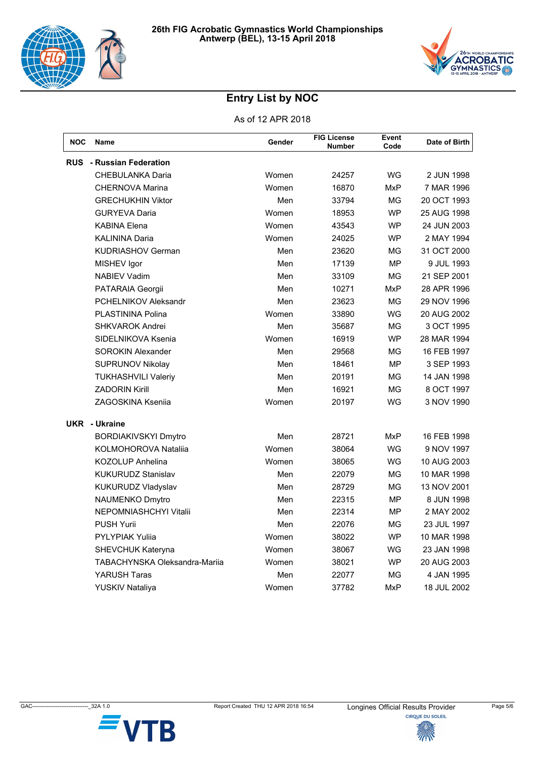



| <b>NOC</b> | <b>Name</b>                          | Gender | <b>FIG License</b><br><b>Number</b> | Event<br>Code | Date of Birth |
|------------|--------------------------------------|--------|-------------------------------------|---------------|---------------|
| <b>RUS</b> | - Russian Federation                 |        |                                     |               |               |
|            | <b>CHEBULANKA Daria</b>              | Women  | 24257                               | <b>WG</b>     | 2 JUN 1998    |
|            | <b>CHERNOVA Marina</b>               | Women  | 16870                               | <b>MxP</b>    | 7 MAR 1996    |
|            | <b>GRECHUKHIN Viktor</b>             | Men    | 33794                               | МG            | 20 OCT 1993   |
|            | <b>GURYEVA Daria</b>                 | Women  | 18953                               | <b>WP</b>     | 25 AUG 1998   |
|            | <b>KABINA Elena</b>                  | Women  | 43543                               | <b>WP</b>     | 24 JUN 2003   |
|            | <b>KALININA Daria</b>                | Women  | 24025                               | WP            | 2 MAY 1994    |
|            | <b>KUDRIASHOV German</b>             | Men    | 23620                               | МG            | 31 OCT 2000   |
|            | MISHEV Igor                          | Men    | 17139                               | MP            | 9 JUL 1993    |
|            | <b>NABIEV Vadim</b>                  | Men    | 33109                               | <b>MG</b>     | 21 SEP 2001   |
|            | PATARAIA Georgii                     | Men    | 10271                               | <b>MxP</b>    | 28 APR 1996   |
|            | PCHELNIKOV Aleksandr                 | Men    | 23623                               | <b>MG</b>     | 29 NOV 1996   |
|            | PLASTININA Polina                    | Women  | 33890                               | WG            | 20 AUG 2002   |
|            | <b>SHKVAROK Andrei</b>               | Men    | 35687                               | МG            | 3 OCT 1995    |
|            | SIDELNIKOVA Ksenia                   | Women  | 16919                               | WP            | 28 MAR 1994   |
|            | <b>SOROKIN Alexander</b>             | Men    | 29568                               | ΜG            | 16 FEB 1997   |
|            | <b>SUPRUNOV Nikolay</b>              | Men    | 18461                               | <b>MP</b>     | 3 SEP 1993    |
|            | <b>TUKHASHVILI Valeriy</b>           | Men    | 20191                               | <b>MG</b>     | 14 JAN 1998   |
|            | <b>ZADORIN Kirill</b>                | Men    | 16921                               | <b>MG</b>     | 8 OCT 1997    |
|            | <b>ZAGOSKINA Ksenija</b>             | Women  | 20197                               | <b>WG</b>     | 3 NOV 1990    |
|            | UKR - Ukraine                        |        |                                     |               |               |
|            | <b>BORDIAKIVSKYI Dmytro</b>          | Men    | 28721                               | <b>MxP</b>    | 16 FEB 1998   |
|            | KOLMOHOROVA Natalija                 | Women  | 38064                               | <b>WG</b>     | 9 NOV 1997    |
|            | <b>KOZOLUP Anhelina</b>              | Women  | 38065                               | <b>WG</b>     | 10 AUG 2003   |
|            | <b>KUKURUDZ Stanislav</b>            | Men    | 22079                               | ΜG            | 10 MAR 1998   |
|            | KUKURUDZ Vladyslav                   | Men    | 28729                               | ΜG            | 13 NOV 2001   |
|            | NAUMENKO Dmytro                      | Men    | 22315                               | MP            | 8 JUN 1998    |
|            | NEPOMNIASHCHYI Vitalii               | Men    | 22314                               | MP            | 2 MAY 2002    |
|            | <b>PUSH Yurii</b>                    | Men    | 22076                               | MG            | 23 JUL 1997   |
|            | <b>PYLYPIAK Yulija</b>               | Women  | 38022                               | <b>WP</b>     | 10 MAR 1998   |
|            | SHEVCHUK Kateryna                    | Women  | 38067                               | WG            | 23 JAN 1998   |
|            | <b>TABACHYNSKA Oleksandra-Marija</b> | Women  | 38021                               | <b>WP</b>     | 20 AUG 2003   |
|            | <b>YARUSH Taras</b>                  | Men    | 22077                               | MG            | 4 JAN 1995    |
|            | YUSKIV Nataliya                      | Women  | 37782                               | MxP           | 18 JUL 2002   |